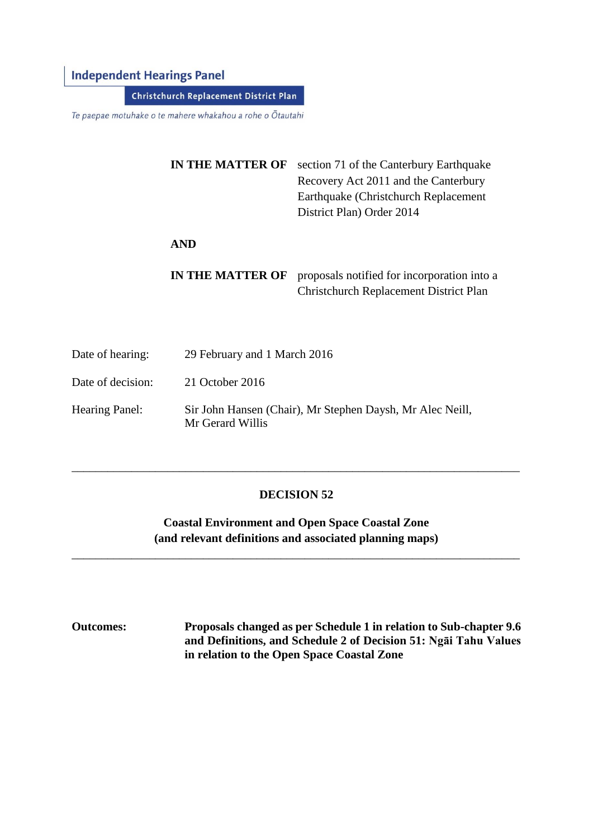### **Independent Hearings Panel**

**Christchurch Replacement District Plan** 

Te paepae motuhake o te mahere whakahou a rohe o Ōtautahi

| <b>IN THE MATTER OF</b> | section 71 of the Canterbury Earthquake     |  |
|-------------------------|---------------------------------------------|--|
|                         | Recovery Act 2011 and the Canterbury        |  |
|                         | Earthquake (Christchurch Replacement)       |  |
|                         | District Plan) Order 2014                   |  |
|                         |                                             |  |
| AND                     |                                             |  |
|                         |                                             |  |
| <b>IN THE MATTER OF</b> | proposals notified for incorporation into a |  |
|                         | Christchurch Replacement District Plan      |  |

Date of hearing: 29 February and 1 March 2016 Date of decision: 21 October 2016 Hearing Panel: Sir John Hansen (Chair), Mr Stephen Daysh, Mr Alec Neill, Mr Gerard Willis

#### **DECISION 52**

\_\_\_\_\_\_\_\_\_\_\_\_\_\_\_\_\_\_\_\_\_\_\_\_\_\_\_\_\_\_\_\_\_\_\_\_\_\_\_\_\_\_\_\_\_\_\_\_\_\_\_\_\_\_\_\_\_\_\_\_\_\_\_\_\_\_\_\_\_\_\_\_\_\_\_

**Coastal Environment and Open Space Coastal Zone (and relevant definitions and associated planning maps)**

\_\_\_\_\_\_\_\_\_\_\_\_\_\_\_\_\_\_\_\_\_\_\_\_\_\_\_\_\_\_\_\_\_\_\_\_\_\_\_\_\_\_\_\_\_\_\_\_\_\_\_\_\_\_\_\_\_\_\_\_\_\_\_\_\_\_\_\_\_\_\_\_\_\_\_

**Outcomes: Proposals changed as per Schedule 1 in relation to Sub-chapter 9.6 and Definitions, and Schedule 2 of Decision 51: Ngāi Tahu Values in relation to the Open Space Coastal Zone**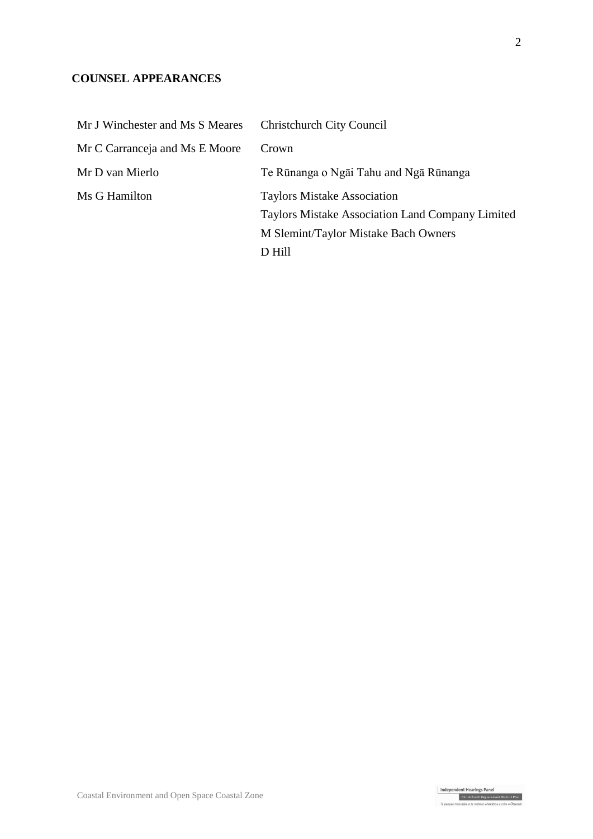## **COUNSEL APPEARANCES**

| Mr J Winchester and Ms S Meares | <b>Christchurch City Council</b>                                                       |
|---------------------------------|----------------------------------------------------------------------------------------|
| Mr C Carranceja and Ms E Moore  | Crown                                                                                  |
| Mr D van Mierlo                 | Te Rūnanga o Ngāi Tahu and Ngā Rūnanga                                                 |
| Ms G Hamilton                   | <b>Taylors Mistake Association</b><br>Taylors Mistake Association Land Company Limited |
|                                 | M Slemint/Taylor Mistake Bach Owners                                                   |
|                                 | D Hill                                                                                 |

Independent Hearings Panel<br>Christchurch Replacement District Plan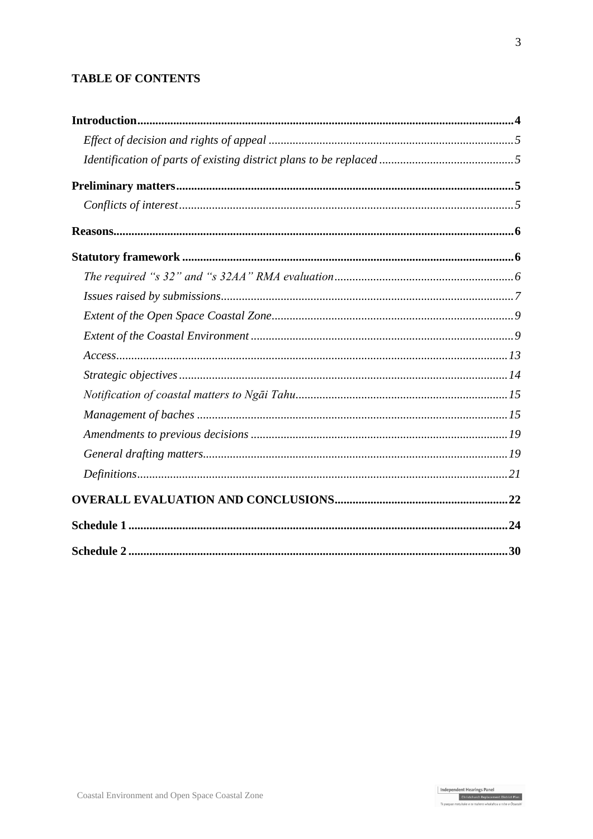### **TABLE OF CONTENTS**

| Access 13 |  |
|-----------|--|
|           |  |
|           |  |
|           |  |
|           |  |
|           |  |
|           |  |
|           |  |
|           |  |
|           |  |

Independent Hearings Panel<br>Christchurch Replacement District Plan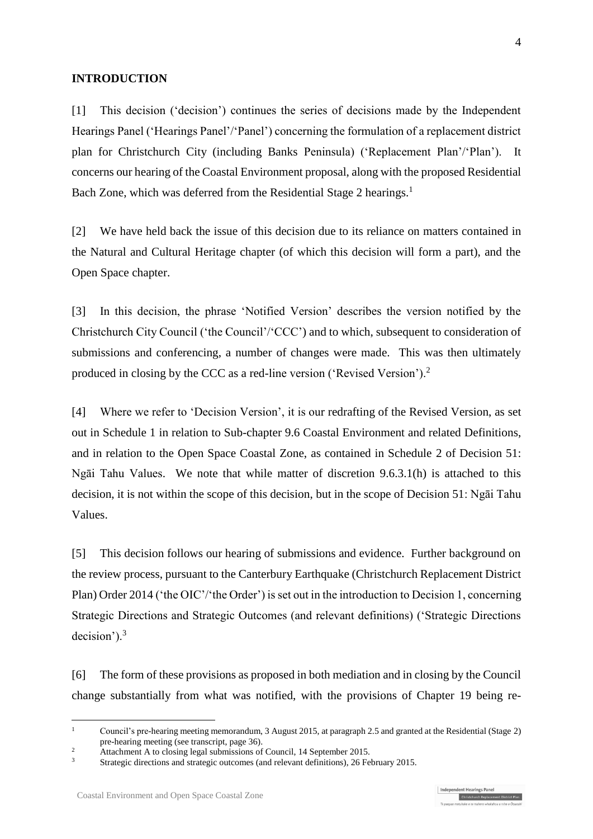#### **INTRODUCTION**

[1] This decision ('decision') continues the series of decisions made by the Independent Hearings Panel ('Hearings Panel'/'Panel') concerning the formulation of a replacement district plan for Christchurch City (including Banks Peninsula) ('Replacement Plan'/'Plan'). It concerns our hearing of the Coastal Environment proposal, along with the proposed Residential Bach Zone, which was deferred from the Residential Stage 2 hearings.<sup>1</sup>

[2] We have held back the issue of this decision due to its reliance on matters contained in the Natural and Cultural Heritage chapter (of which this decision will form a part), and the Open Space chapter.

[3] In this decision, the phrase 'Notified Version' describes the version notified by the Christchurch City Council ('the Council'/'CCC') and to which, subsequent to consideration of submissions and conferencing, a number of changes were made. This was then ultimately produced in closing by the CCC as a red-line version ('Revised Version').<sup>2</sup>

[4] Where we refer to 'Decision Version', it is our redrafting of the Revised Version, as set out in Schedule 1 in relation to Sub-chapter 9.6 Coastal Environment and related Definitions, and in relation to the Open Space Coastal Zone, as contained in Schedule 2 of Decision 51: Ngāi Tahu Values. We note that while matter of discretion 9.6.3.1(h) is attached to this decision, it is not within the scope of this decision, but in the scope of Decision 51: Ngāi Tahu Values.

[5] This decision follows our hearing of submissions and evidence. Further background on the review process, pursuant to the [Canterbury Earthquake \(Christchurch Replacement District](http://www.legislation.govt.nz/regulation/public/2014/0228/latest/DLM6190883.html?search=ts_act%40bill%40regulation%40deemedreg_Canterbury+Earthquake+%28Christchurch+Replacement+District+Plan%29+Order+2014+_resel_25_a&p=1)  [Plan\) Order 2014](http://www.legislation.govt.nz/regulation/public/2014/0228/latest/DLM6190883.html?search=ts_act%40bill%40regulation%40deemedreg_Canterbury+Earthquake+%28Christchurch+Replacement+District+Plan%29+Order+2014+_resel_25_a&p=1) ('the OIC'/'the Order') is set out in the introduction to Decision 1, concerning Strategic Directions and Strategic Outcomes (and relevant definitions) ('Strategic Directions decision').<sup>3</sup>

[6] The form of these provisions as proposed in both mediation and in closing by the Council change substantially from what was notified, with the provisions of Chapter 19 being re-

<sup>&</sup>lt;sup>1</sup> Council's pre-hearing meeting memorandum, 3 August 2015, at paragraph 2.5 and granted at the Residential (Stage 2) pre-hearing meeting (see transcript, page 36).

<sup>&</sup>lt;sup>2</sup> Attachment A to closing legal submissions of Council, 14 September 2015.

<sup>3</sup> [Strategic directions and strategic outcomes \(and relevant definitions\), 26 February 2015.](http://www.chchplan.ihp.govt.nz/wp-content/uploads/2015/03/Strategic-Directions-and-Strategic-Outcomes-Decision.pdf)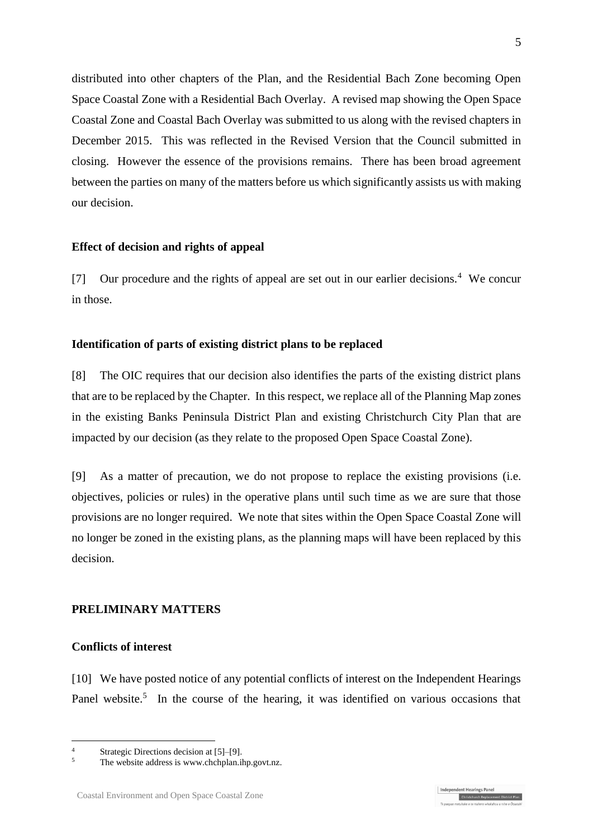distributed into other chapters of the Plan, and the Residential Bach Zone becoming Open Space Coastal Zone with a Residential Bach Overlay. A revised map showing the Open Space Coastal Zone and Coastal Bach Overlay was submitted to us along with the revised chapters in December 2015. This was reflected in the Revised Version that the Council submitted in closing. However the essence of the provisions remains. There has been broad agreement between the parties on many of the matters before us which significantly assists us with making our decision.

#### **Effect of decision and rights of appeal**

[7] Our procedure and the rights of appeal are set out in our earlier decisions.<sup>4</sup> We concur in those.

#### **Identification of parts of existing district plans to be replaced**

[8] The OIC requires that our decision also identifies the parts of the existing district plans that are to be replaced by the Chapter. In this respect, we replace all of the Planning Map zones in the existing Banks Peninsula District Plan and existing Christchurch City Plan that are impacted by our decision (as they relate to the proposed Open Space Coastal Zone).

[9] As a matter of precaution, we do not propose to replace the existing provisions (i.e. objectives, policies or rules) in the operative plans until such time as we are sure that those provisions are no longer required. We note that sites within the Open Space Coastal Zone will no longer be zoned in the existing plans, as the planning maps will have been replaced by this decision.

#### **PRELIMINARY MATTERS**

#### **Conflicts of interest**

<u>.</u>

[10] We have posted notice of any potential conflicts of interest on the Independent Hearings Panel website.<sup>5</sup> In the course of the hearing, it was identified on various occasions that

<sup>4</sup> Strategic Directions decision at [5]–[9].

The website address is [www.chchplan.ihp.govt.nz.](http://www.chchplan.ihp.govt.nz/)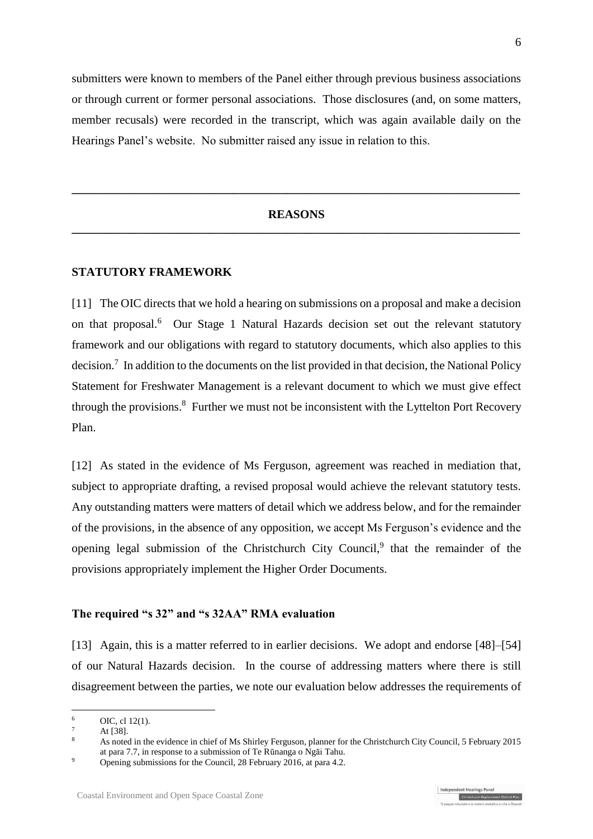submitters were known to members of the Panel either through previous business associations or through current or former personal associations. Those disclosures (and, on some matters, member recusals) were recorded in the transcript, which was again available daily on the Hearings Panel's website. No submitter raised any issue in relation to this.

#### **REASONS \_\_\_\_\_\_\_\_\_\_\_\_\_\_\_\_\_\_\_\_\_\_\_\_\_\_\_\_\_\_\_\_\_\_\_\_\_\_\_\_\_\_\_\_\_\_\_\_\_\_\_\_\_\_\_\_\_\_\_\_\_\_\_\_\_\_\_\_\_\_\_\_\_\_\_**

**\_\_\_\_\_\_\_\_\_\_\_\_\_\_\_\_\_\_\_\_\_\_\_\_\_\_\_\_\_\_\_\_\_\_\_\_\_\_\_\_\_\_\_\_\_\_\_\_\_\_\_\_\_\_\_\_\_\_\_\_\_\_\_\_\_\_\_\_\_\_\_\_\_\_\_**

#### **STATUTORY FRAMEWORK**

[11] The OIC directs that we hold a hearing on submissions on a proposal and make a decision on that proposal.<sup>6</sup> Our Stage 1 Natural Hazards decision set out the relevant statutory framework and our obligations with regard to statutory documents, which also applies to this decision.<sup>7</sup> In addition to the documents on the list provided in that decision, the National Policy Statement for Freshwater Management is a relevant document to which we must give effect through the provisions.<sup>8</sup> Further we must not be inconsistent with the Lyttelton Port Recovery Plan.

[12] As stated in the evidence of Ms Ferguson, agreement was reached in mediation that, subject to appropriate drafting, a revised proposal would achieve the relevant statutory tests. Any outstanding matters were matters of detail which we address below, and for the remainder of the provisions, in the absence of any opposition, we accept Ms Ferguson's evidence and the opening legal submission of the Christchurch City Council,<sup>9</sup> that the remainder of the provisions appropriately implement the Higher Order Documents.

#### **The required "s 32" and "s 32AA" RMA evaluation**

[13] Again, this is a matter referred to in earlier decisions. We adopt and endorse [48]–[54] of our Natural Hazards decision. In the course of addressing matters where there is still disagreement between the parties, we note our evaluation below addresses the requirements of

1

 $^{6}$  OIC, cl [12\(1\).](http://www.legislation.govt.nz/regulation/public/2014/0228/latest/DLM6191312.html?search=ts_act%40bill%40regulation%40deemedreg_Canterbury+Earthquake+(Christchurch+Replacement+District+Plan)+Order+2014+_resel_25_a&p=1)

 $\frac{7}{8}$  At [38].

<sup>8</sup> As noted in the evidence in chief of Ms Shirley Ferguson, planner for the Christchurch City Council, 5 February 2015 at para 7.7, in response to a submission of Te Rūnanga o Ngāi Tahu.

<sup>&</sup>lt;sup>9</sup> Opening submissions for the Council, 28 February 2016, at para 4.2.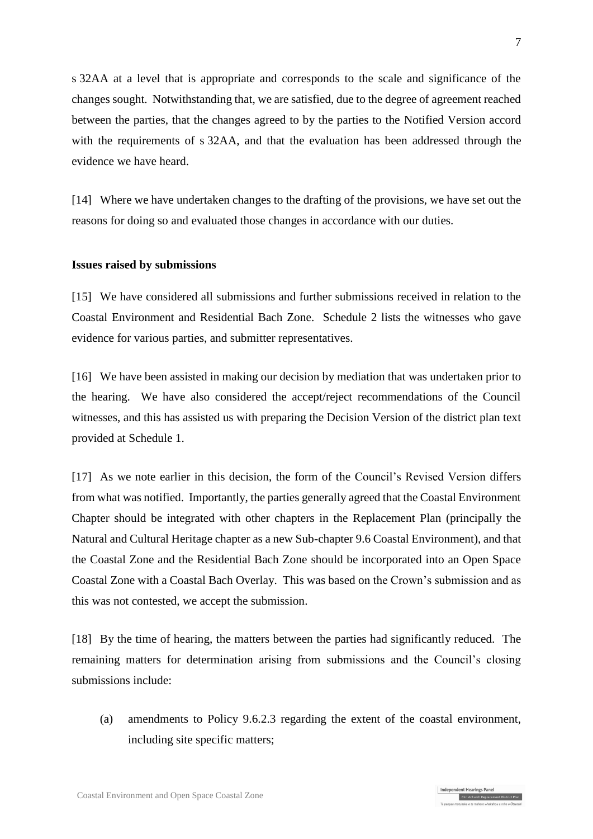s 32AA at a level that is appropriate and corresponds to the scale and significance of the changes sought. Notwithstanding that, we are satisfied, due to the degree of agreement reached between the parties, that the changes agreed to by the parties to the Notified Version accord with the requirements of s 32AA, and that the evaluation has been addressed through the evidence we have heard.

[14] Where we have undertaken changes to the drafting of the provisions, we have set out the reasons for doing so and evaluated those changes in accordance with our duties.

#### **Issues raised by submissions**

[15] We have considered all submissions and further submissions received in relation to the Coastal Environment and Residential Bach Zone. Schedule 2 lists the witnesses who gave evidence for various parties, and submitter representatives.

[16] We have been assisted in making our decision by mediation that was undertaken prior to the hearing. We have also considered the accept/reject recommendations of the Council witnesses, and this has assisted us with preparing the Decision Version of the district plan text provided at Schedule 1.

[17] As we note earlier in this decision, the form of the Council's Revised Version differs from what was notified. Importantly, the parties generally agreed that the Coastal Environment Chapter should be integrated with other chapters in the Replacement Plan (principally the Natural and Cultural Heritage chapter as a new Sub-chapter 9.6 Coastal Environment), and that the Coastal Zone and the Residential Bach Zone should be incorporated into an Open Space Coastal Zone with a Coastal Bach Overlay. This was based on the Crown's submission and as this was not contested, we accept the submission.

[18] By the time of hearing, the matters between the parties had significantly reduced. The remaining matters for determination arising from submissions and the Council's closing submissions include:

(a) amendments to Policy 9.6.2.3 regarding the extent of the coastal environment, including site specific matters;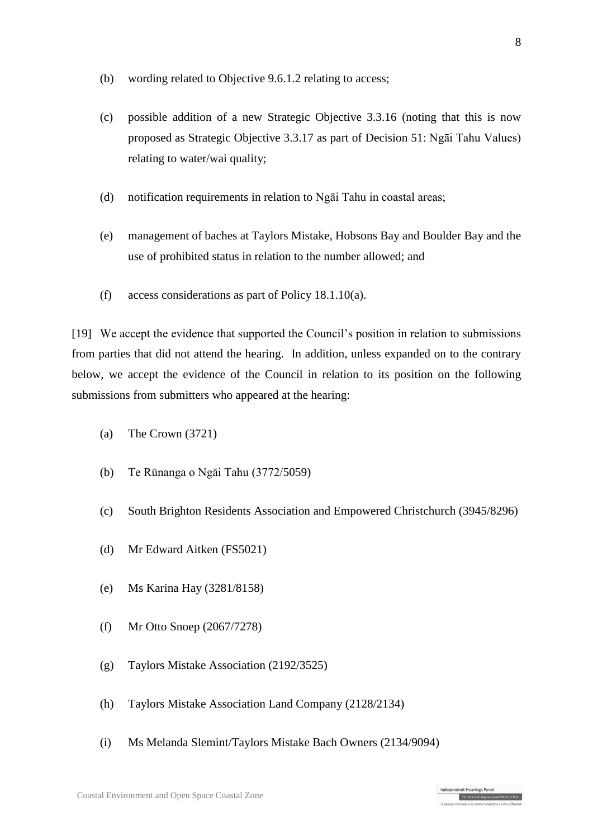- (b) wording related to Objective 9.6.1.2 relating to access;
- (c) possible addition of a new Strategic Objective 3.3.16 (noting that this is now proposed as Strategic Objective 3.3.17 as part of Decision 51: Ngāi Tahu Values) relating to water/wai quality;
- (d) notification requirements in relation to Ngāi Tahu in coastal areas;
- (e) management of baches at Taylors Mistake, Hobsons Bay and Boulder Bay and the use of prohibited status in relation to the number allowed; and
- (f) access considerations as part of Policy 18.1.10(a).

[19] We accept the evidence that supported the Council's position in relation to submissions from parties that did not attend the hearing. In addition, unless expanded on to the contrary below, we accept the evidence of the Council in relation to its position on the following submissions from submitters who appeared at the hearing:

- (a) The Crown (3721)
- (b) Te Rūnanga o Ngāi Tahu (3772/5059)
- (c) South Brighton Residents Association and Empowered Christchurch (3945/8296)
- (d) Mr Edward Aitken (FS5021)
- (e) Ms Karina Hay (3281/8158)
- (f) Mr Otto Snoep (2067/7278)
- (g) Taylors Mistake Association (2192/3525)
- (h) Taylors Mistake Association Land Company (2128/2134)
- (i) Ms Melanda Slemint/Taylors Mistake Bach Owners (2134/9094)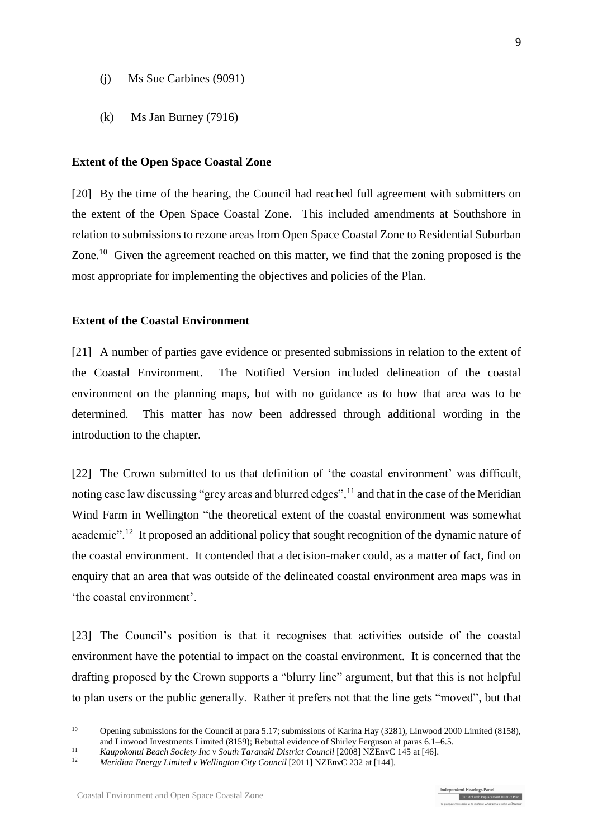- (j) Ms Sue Carbines (9091)
- (k) Ms Jan Burney (7916)

#### **Extent of the Open Space Coastal Zone**

[20] By the time of the hearing, the Council had reached full agreement with submitters on the extent of the Open Space Coastal Zone. This included amendments at Southshore in relation to submissions to rezone areas from Open Space Coastal Zone to Residential Suburban Zone.<sup>10</sup> Given the agreement reached on this matter, we find that the zoning proposed is the most appropriate for implementing the objectives and policies of the Plan.

#### **Extent of the Coastal Environment**

[21] A number of parties gave evidence or presented submissions in relation to the extent of the Coastal Environment. The Notified Version included delineation of the coastal environment on the planning maps, but with no guidance as to how that area was to be determined. This matter has now been addressed through additional wording in the introduction to the chapter.

[22] The Crown submitted to us that definition of 'the coastal environment' was difficult, noting case law discussing "grey areas and blurred edges",<sup>11</sup> and that in the case of the Meridian Wind Farm in Wellington "the theoretical extent of the coastal environment was somewhat academic".<sup>12</sup> It proposed an additional policy that sought recognition of the dynamic nature of the coastal environment. It contended that a decision-maker could, as a matter of fact, find on enquiry that an area that was outside of the delineated coastal environment area maps was in 'the coastal environment'.

[23] The Council's position is that it recognises that activities outside of the coastal environment have the potential to impact on the coastal environment. It is concerned that the drafting proposed by the Crown supports a "blurry line" argument, but that this is not helpful to plan users or the public generally. Rather it prefers not that the line gets "moved", but that

<sup>&</sup>lt;sup>10</sup> Opening submissions for the Council at para 5.17; submissions of Karina Hay (3281), Linwood 2000 Limited (8158), and Linwood Investments Limited (8159); Rebuttal evidence of Shirley Ferguson at paras 6.1–6.5.

<sup>&</sup>lt;sup>11</sup> *Kaupokonui Beach Society Inc v South Taranaki District Council* [2008] NZEnvC 145 at [46].

<sup>12</sup> *Meridian Energy Limited v Wellington City Council* [2011] NZEnvC 232 at [144].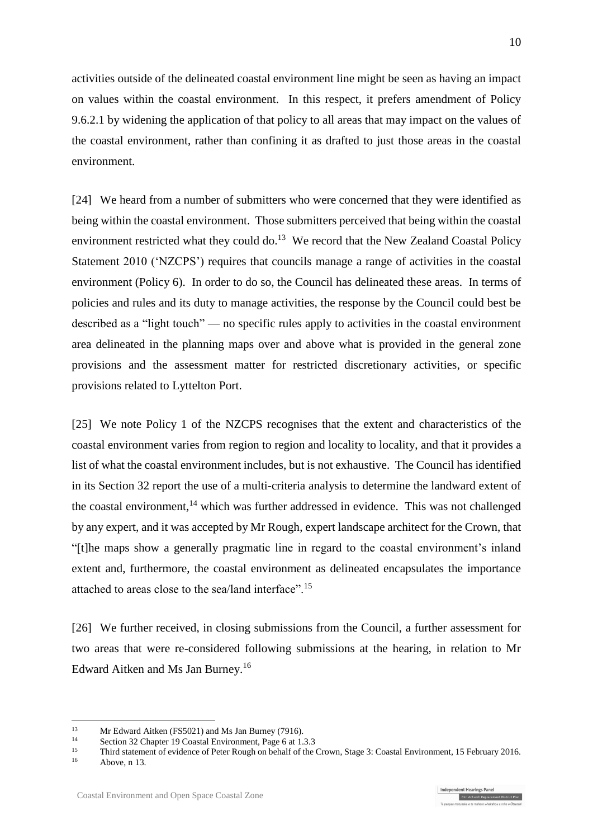activities outside of the delineated coastal environment line might be seen as having an impact on values within the coastal environment. In this respect, it prefers amendment of Policy 9.6.2.1 by widening the application of that policy to all areas that may impact on the values of the coastal environment, rather than confining it as drafted to just those areas in the coastal environment.

<span id="page-9-0"></span>[24] We heard from a number of submitters who were concerned that they were identified as being within the coastal environment. Those submitters perceived that being within the coastal environment restricted what they could do.<sup>13</sup> We record that the New Zealand Coastal Policy Statement 2010 ('NZCPS') requires that councils manage a range of activities in the coastal environment (Policy 6). In order to do so, the Council has delineated these areas. In terms of policies and rules and its duty to manage activities, the response by the Council could best be described as a "light touch" — no specific rules apply to activities in the coastal environment area delineated in the planning maps over and above what is provided in the general zone provisions and the assessment matter for restricted discretionary activities, or specific provisions related to Lyttelton Port.

[25] We note Policy 1 of the NZCPS recognises that the extent and characteristics of the coastal environment varies from region to region and locality to locality, and that it provides a list of what the coastal environment includes, but is not exhaustive. The Council has identified in its Section 32 report the use of a multi-criteria analysis to determine the landward extent of the coastal environment,<sup>14</sup> which was further addressed in evidence. This was not challenged by any expert, and it was accepted by Mr Rough, expert landscape architect for the Crown, that "[t]he maps show a generally pragmatic line in regard to the coastal environment's inland extent and, furthermore, the coastal environment as delineated encapsulates the importance attached to areas close to the sea/land interface".<sup>15</sup>

[26] We further received, in closing submissions from the Council, a further assessment for two areas that were re-considered following submissions at the hearing, in relation to Mr Edward Aitken and Ms Jan Burney. 16

<sup>&</sup>lt;sup>13</sup> Mr Edward Aitken (FS5021) and Ms Jan Burney (7916).

<sup>&</sup>lt;sup>14</sup> Section 32 Chapter 19 Coastal Environment, Page 6 at 1.3.3<br><sup>15</sup>

<sup>&</sup>lt;sup>15</sup> Third statement of evidence of Peter Rough on behalf of the Crown, Stage 3: Coastal Environment, 15 February 2016.

Above, [n 13.](#page-9-0)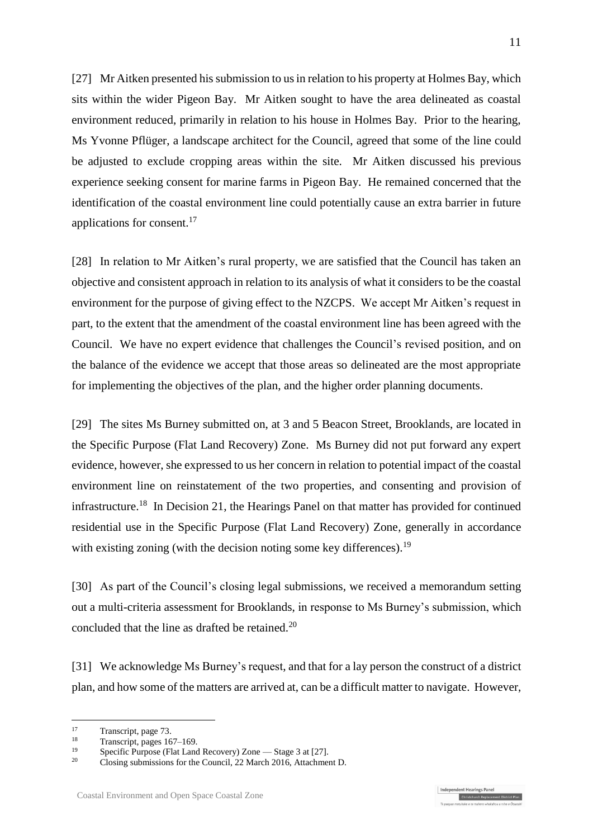[27] Mr Aitken presented his submission to us in relation to his property at Holmes Bay, which sits within the wider Pigeon Bay. Mr Aitken sought to have the area delineated as coastal environment reduced, primarily in relation to his house in Holmes Bay. Prior to the hearing, Ms Yvonne Pflüger, a landscape architect for the Council, agreed that some of the line could be adjusted to exclude cropping areas within the site. Mr Aitken discussed his previous experience seeking consent for marine farms in Pigeon Bay. He remained concerned that the identification of the coastal environment line could potentially cause an extra barrier in future applications for consent.<sup>17</sup>

[28] In relation to Mr Aitken's rural property, we are satisfied that the Council has taken an objective and consistent approach in relation to its analysis of what it considers to be the coastal environment for the purpose of giving effect to the NZCPS. We accept Mr Aitken's request in part, to the extent that the amendment of the coastal environment line has been agreed with the Council. We have no expert evidence that challenges the Council's revised position, and on the balance of the evidence we accept that those areas so delineated are the most appropriate for implementing the objectives of the plan, and the higher order planning documents.

[29] The sites Ms Burney submitted on, at 3 and 5 Beacon Street, Brooklands, are located in the Specific Purpose (Flat Land Recovery) Zone. Ms Burney did not put forward any expert evidence, however, she expressed to us her concern in relation to potential impact of the coastal environment line on reinstatement of the two properties, and consenting and provision of infrastructure.<sup>18</sup> In Decision 21, the Hearings Panel on that matter has provided for continued residential use in the Specific Purpose (Flat Land Recovery) Zone, generally in accordance with existing zoning (with the decision noting some key differences).<sup>19</sup>

[30] As part of the Council's closing legal submissions, we received a memorandum setting out a multi-criteria assessment for Brooklands, in response to Ms Burney's submission, which concluded that the line as drafted be retained.<sup>20</sup>

[31] We acknowledge Ms Burney's request, and that for a lay person the construct of a district plan, and how some of the matters are arrived at, can be a difficult matter to navigate. However,

Independent Hearings Panel

Christchurch Replacement District Plan

 $\frac{17}{18}$  Transcript, page 73.

<sup>&</sup>lt;sup>18</sup> Transcript, pages 167–169.

<sup>&</sup>lt;sup>19</sup> Specific Purpose (Flat Land Recovery) Zone — Stage 3 at [27].<br>
<sup>20</sup> Clasing submissions for the Council 22 Marsh 2016, Attachma

<sup>20</sup> Closing submissions for the Council, 22 March 2016, Attachment D.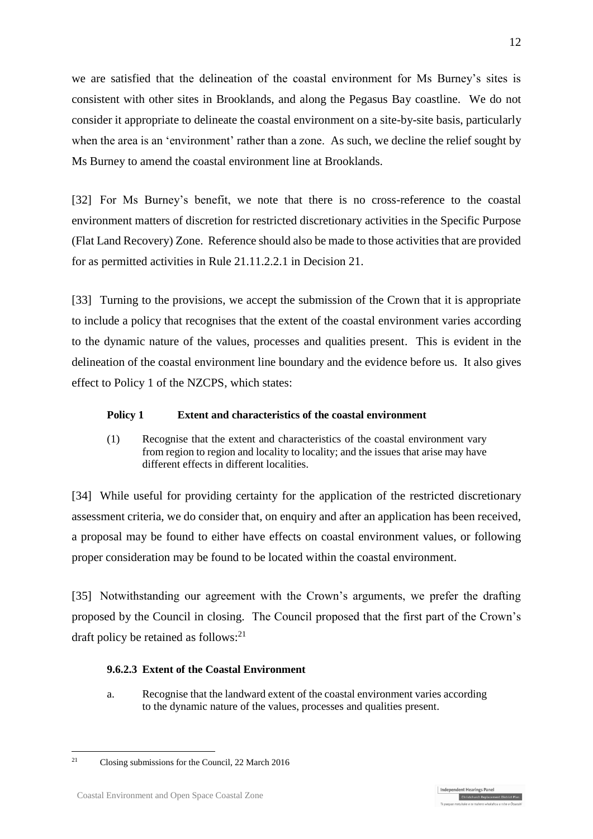we are satisfied that the delineation of the coastal environment for Ms Burney's sites is consistent with other sites in Brooklands, and along the Pegasus Bay coastline. We do not consider it appropriate to delineate the coastal environment on a site-by-site basis, particularly when the area is an 'environment' rather than a zone. As such, we decline the relief sought by Ms Burney to amend the coastal environment line at Brooklands.

[32] For Ms Burney's benefit, we note that there is no cross-reference to the coastal environment matters of discretion for restricted discretionary activities in the Specific Purpose (Flat Land Recovery) Zone. Reference should also be made to those activities that are provided for as permitted activities in Rule 21.11.2.2.1 in Decision 21.

[33] Turning to the provisions, we accept the submission of the Crown that it is appropriate to include a policy that recognises that the extent of the coastal environment varies according to the dynamic nature of the values, processes and qualities present. This is evident in the delineation of the coastal environment line boundary and the evidence before us. It also gives effect to Policy 1 of the NZCPS, which states:

### **Policy 1 Extent and characteristics of the coastal environment**

(1) Recognise that the extent and characteristics of the coastal environment vary from region to region and locality to locality; and the issues that arise may have different effects in different localities.

[34] While useful for providing certainty for the application of the restricted discretionary assessment criteria, we do consider that, on enquiry and after an application has been received, a proposal may be found to either have effects on coastal environment values, or following proper consideration may be found to be located within the coastal environment.

[35] Notwithstanding our agreement with the Crown's arguments, we prefer the drafting proposed by the Council in closing. The Council proposed that the first part of the Crown's draft policy be retained as follows: $^{21}$ 

### **9.6.2.3 Extent of the Coastal Environment**

a. Recognise that the landward extent of the coastal environment varies according to the dynamic nature of the values, processes and qualities present.

1



<sup>21</sup> Closing submissions for the Council, 22 March 2016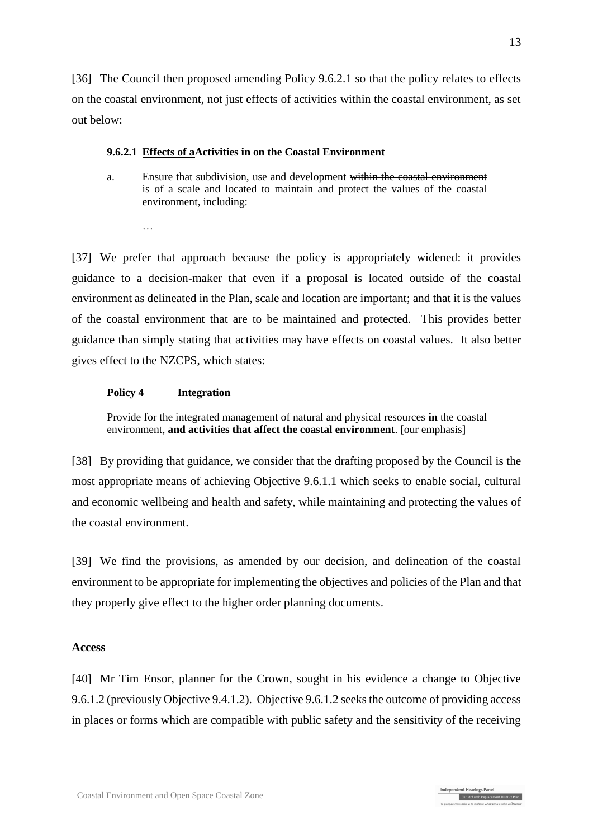[36] The Council then proposed amending Policy 9.6.2.1 so that the policy relates to effects on the coastal environment, not just effects of activities within the coastal environment, as set out below:

#### **9.6.2.1 Effects of aActivities in on the Coastal Environment**

a. Ensure that subdivision, use and development within the coastal environment is of a scale and located to maintain and protect the values of the coastal environment, including:

…

[37] We prefer that approach because the policy is appropriately widened: it provides guidance to a decision-maker that even if a proposal is located outside of the coastal environment as delineated in the Plan, scale and location are important; and that it is the values of the coastal environment that are to be maintained and protected. This provides better guidance than simply stating that activities may have effects on coastal values. It also better gives effect to the NZCPS, which states:

#### **Policy 4 Integration**

Provide for the integrated management of natural and physical resources **in** the coastal environment, **and activities that affect the coastal environment**. [our emphasis]

[38] By providing that guidance, we consider that the drafting proposed by the Council is the most appropriate means of achieving Objective 9.6.1.1 which seeks to enable social, cultural and economic wellbeing and health and safety, while maintaining and protecting the values of the coastal environment.

[39] We find the provisions, as amended by our decision, and delineation of the coastal environment to be appropriate for implementing the objectives and policies of the Plan and that they properly give effect to the higher order planning documents.

#### **Access**

[40] Mr Tim Ensor, planner for the Crown, sought in his evidence a change to Objective 9.6.1.2 (previously Objective 9.4.1.2). Objective 9.6.1.2 seeks the outcome of providing access in places or forms which are compatible with public safety and the sensitivity of the receiving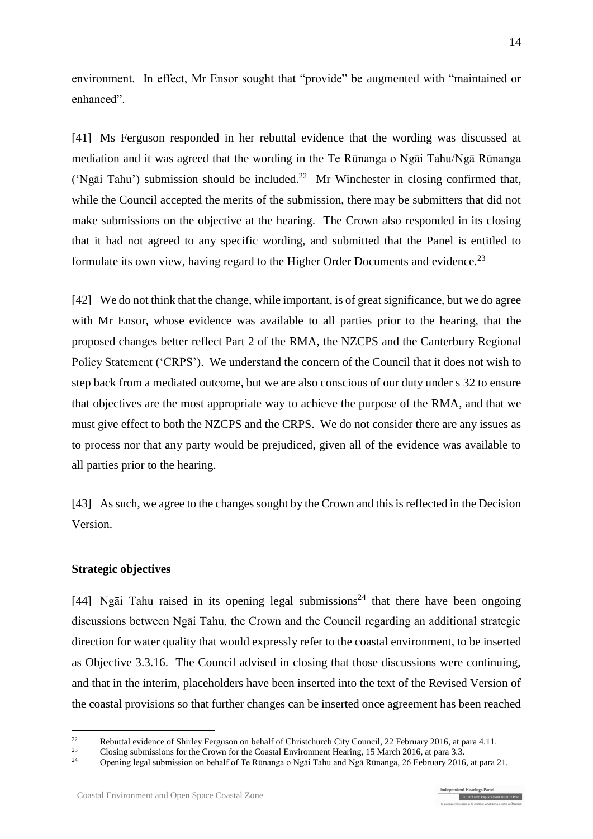environment. In effect, Mr Ensor sought that "provide" be augmented with "maintained or enhanced".

[41] Ms Ferguson responded in her rebuttal evidence that the wording was discussed at mediation and it was agreed that the wording in the Te Rūnanga o Ngāi Tahu/Ngā Rūnanga ('Ngāi Tahu') submission should be included. 22 Mr Winchester in closing confirmed that, while the Council accepted the merits of the submission, there may be submitters that did not make submissions on the objective at the hearing. The Crown also responded in its closing that it had not agreed to any specific wording, and submitted that the Panel is entitled to formulate its own view, having regard to the Higher Order Documents and evidence.<sup>23</sup>

[42] We do not think that the change, while important, is of great significance, but we do agree with Mr Ensor, whose evidence was available to all parties prior to the hearing, that the proposed changes better reflect Part 2 of the RMA, the NZCPS and the Canterbury Regional Policy Statement ('CRPS'). We understand the concern of the Council that it does not wish to step back from a mediated outcome, but we are also conscious of our duty under s 32 to ensure that objectives are the most appropriate way to achieve the purpose of the RMA, and that we must give effect to both the NZCPS and the CRPS. We do not consider there are any issues as to process nor that any party would be prejudiced, given all of the evidence was available to all parties prior to the hearing.

[43] As such, we agree to the changes sought by the Crown and this is reflected in the Decision Version.

#### **Strategic objectives**

1

[44] Ngai Tahu raised in its opening legal submissions<sup>24</sup> that there have been ongoing discussions between Ngāi Tahu, the Crown and the Council regarding an additional strategic direction for water quality that would expressly refer to the coastal environment, to be inserted as Objective 3.3.16. The Council advised in closing that those discussions were continuing, and that in the interim, placeholders have been inserted into the text of the Revised Version of the coastal provisions so that further changes can be inserted once agreement has been reached

<sup>22</sup> Rebuttal evidence of Shirley Ferguson on behalf of Christchurch City Council, 22 February 2016, at para 4.11.

<sup>&</sup>lt;sup>23</sup> Closing submissions for the Crown for the Coastal Environment Hearing, 15 March 2016, at para 3.3.<br> **Channical Strategies** on heart for Ta Bineance a Negi Tabu and Neg Bineance 26 Esbruary 2016

<sup>24</sup> Opening legal submission on behalf of Te Rūnanga o Ngāi Tahu and Ngā Rūnanga, 26 February 2016, at para 21.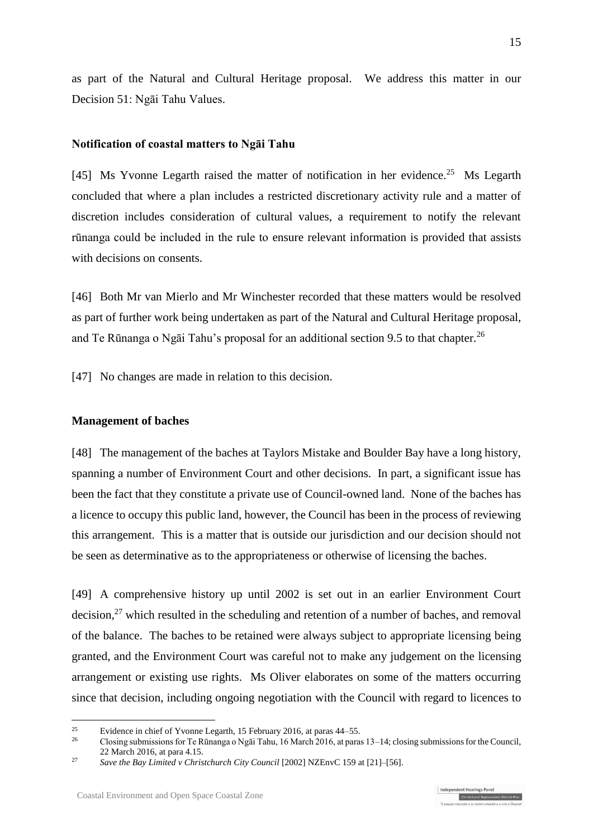as part of the Natural and Cultural Heritage proposal. We address this matter in our Decision 51: Ngāi Tahu Values.

#### **Notification of coastal matters to Ngāi Tahu**

[45] Ms Yvonne Legarth raised the matter of notification in her evidence.<sup>25</sup> Ms Legarth concluded that where a plan includes a restricted discretionary activity rule and a matter of discretion includes consideration of cultural values, a requirement to notify the relevant rūnanga could be included in the rule to ensure relevant information is provided that assists with decisions on consents.

[46] Both Mr van Mierlo and Mr Winchester recorded that these matters would be resolved as part of further work being undertaken as part of the Natural and Cultural Heritage proposal, and Te Rūnanga o Ngāi Tahu's proposal for an additional section 9.5 to that chapter.<sup>26</sup>

[47] No changes are made in relation to this decision.

#### **Management of baches**

[48] The management of the baches at Taylors Mistake and Boulder Bay have a long history, spanning a number of Environment Court and other decisions. In part, a significant issue has been the fact that they constitute a private use of Council-owned land. None of the baches has a licence to occupy this public land, however, the Council has been in the process of reviewing this arrangement. This is a matter that is outside our jurisdiction and our decision should not be seen as determinative as to the appropriateness or otherwise of licensing the baches.

[49] A comprehensive history up until 2002 is set out in an earlier Environment Court decision,<sup>27</sup> which resulted in the scheduling and retention of a number of baches, and removal of the balance. The baches to be retained were always subject to appropriate licensing being granted, and the Environment Court was careful not to make any judgement on the licensing arrangement or existing use rights. Ms Oliver elaborates on some of the matters occurring since that decision, including ongoing negotiation with the Council with regard to licences to

<sup>&</sup>lt;sup>25</sup> Evidence in chief of Yvonne Legarth, 15 February 2016, at paras  $44-55$ .<br>  $\frac{26}{26}$  Clasing submissions for Ta Binames a Mazi Tabu 16 Marsh 2016, at paras

<sup>26</sup> Closing submissions for Te Rūnanga o Ngāi Tahu, 16 March 2016, at paras 13–14; closing submissions for the Council, 22 March 2016, at para 4.15.

<sup>&</sup>lt;sup>27</sup> *Save the Bay Limited v Christchurch City Council* [2002] NZEnvC 159 at [21]–[56].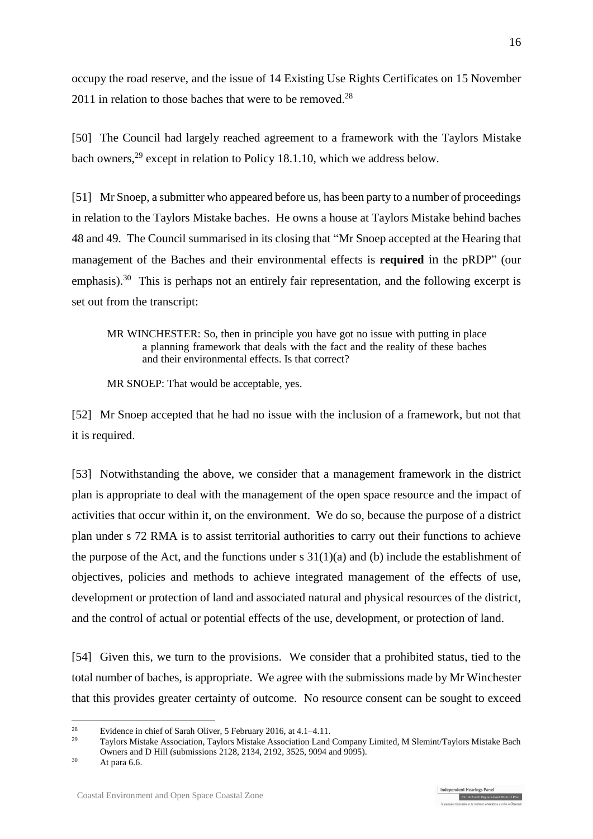occupy the road reserve, and the issue of 14 Existing Use Rights Certificates on 15 November  $2011$  in relation to those baches that were to be removed.<sup>28</sup>

[50] The Council had largely reached agreement to a framework with the Taylors Mistake bach owners,<sup>29</sup> except in relation to Policy 18.1.10, which we address below.

[51] Mr Snoep, a submitter who appeared before us, has been party to a number of proceedings in relation to the Taylors Mistake baches. He owns a house at Taylors Mistake behind baches 48 and 49. The Council summarised in its closing that "Mr Snoep accepted at the Hearing that management of the Baches and their environmental effects is **required** in the pRDP" (our emphasis).<sup>30</sup> This is perhaps not an entirely fair representation, and the following excerpt is set out from the transcript:

MR WINCHESTER: So, then in principle you have got no issue with putting in place a planning framework that deals with the fact and the reality of these baches and their environmental effects. Is that correct?

MR SNOEP: That would be acceptable, yes.

[52] Mr Snoep accepted that he had no issue with the inclusion of a framework, but not that it is required.

[53] Notwithstanding the above, we consider that a management framework in the district plan is appropriate to deal with the management of the open space resource and the impact of activities that occur within it, on the environment. We do so, because the purpose of a district plan under s 72 RMA is to assist territorial authorities to carry out their functions to achieve the purpose of the Act, and the functions under  $s \frac{31(1)}{a}$  and (b) include the establishment of objectives, policies and methods to achieve integrated management of the effects of use, development or protection of land and associated natural and physical resources of the district, and the control of actual or potential effects of the use, development, or protection of land.

[54] Given this, we turn to the provisions. We consider that a prohibited status, tied to the total number of baches, is appropriate. We agree with the submissions made by Mr Winchester that this provides greater certainty of outcome. No resource consent can be sought to exceed

<sup>&</sup>lt;sup>28</sup> Evidence in chief of Sarah Oliver, 5 February 2016, at  $4.1-4.11$ .

<sup>29</sup> Taylors Mistake Association, Taylors Mistake Association Land Company Limited, M Slemint/Taylors Mistake Bach Owners and D Hill (submissions 2128, 2134, 2192, 3525, 9094 and 9095).

 $30$  At para 6.6.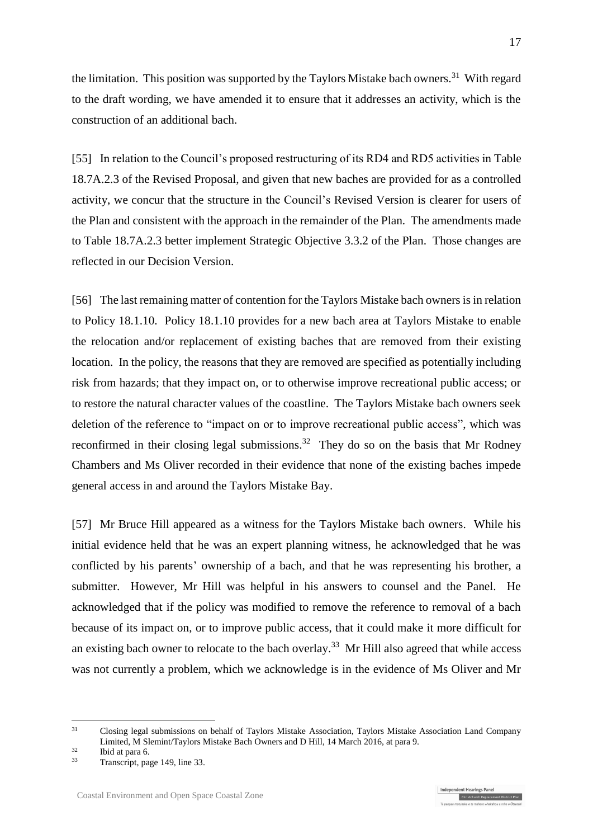the limitation. This position was supported by the Taylors Mistake bach owners.<sup>31</sup> With regard to the draft wording, we have amended it to ensure that it addresses an activity, which is the construction of an additional bach.

[55] In relation to the Council's proposed restructuring of its RD4 and RD5 activities in Table 18.7A.2.3 of the Revised Proposal, and given that new baches are provided for as a controlled activity, we concur that the structure in the Council's Revised Version is clearer for users of the Plan and consistent with the approach in the remainder of the Plan. The amendments made to Table 18.7A.2.3 better implement Strategic Objective 3.3.2 of the Plan. Those changes are reflected in our Decision Version.

[56] The last remaining matter of contention for the Taylors Mistake bach owners is in relation to Policy 18.1.10. Policy 18.1.10 provides for a new bach area at Taylors Mistake to enable the relocation and/or replacement of existing baches that are removed from their existing location. In the policy, the reasons that they are removed are specified as potentially including risk from hazards; that they impact on, or to otherwise improve recreational public access; or to restore the natural character values of the coastline. The Taylors Mistake bach owners seek deletion of the reference to "impact on or to improve recreational public access", which was reconfirmed in their closing legal submissions.<sup>32</sup> They do so on the basis that Mr Rodney Chambers and Ms Oliver recorded in their evidence that none of the existing baches impede general access in and around the Taylors Mistake Bay.

[57] Mr Bruce Hill appeared as a witness for the Taylors Mistake bach owners. While his initial evidence held that he was an expert planning witness, he acknowledged that he was conflicted by his parents' ownership of a bach, and that he was representing his brother, a submitter. However, Mr Hill was helpful in his answers to counsel and the Panel. He acknowledged that if the policy was modified to remove the reference to removal of a bach because of its impact on, or to improve public access, that it could make it more difficult for an existing bach owner to relocate to the bach overlay.<sup>33</sup> Mr Hill also agreed that while access was not currently a problem, which we acknowledge is in the evidence of Ms Oliver and Mr

Independent Hearings Panel

Christchurch Replacement District Plan

<sup>&</sup>lt;sup>31</sup> Closing legal submissions on behalf of Taylors Mistake Association, Taylors Mistake Association Land Company Limited, M Slemint/Taylors Mistake Bach Owners and D Hill, 14 March 2016, at para 9.

 $rac{32}{33}$  Ibid at para 6.

Transcript, page 149, line 33.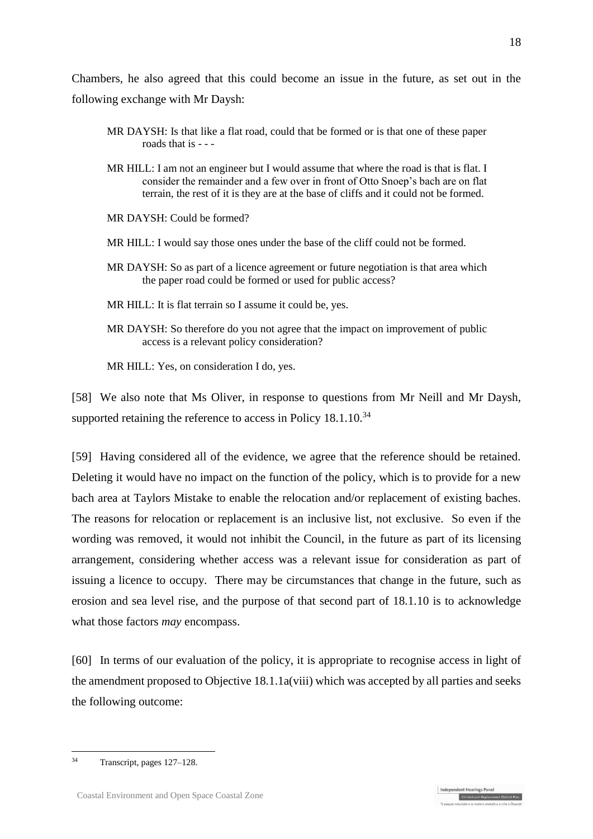Chambers, he also agreed that this could become an issue in the future, as set out in the following exchange with Mr Daysh:

- MR DAYSH: Is that like a flat road, could that be formed or is that one of these paper roads that is - - -
- MR HILL: I am not an engineer but I would assume that where the road is that is flat. I consider the remainder and a few over in front of Otto Snoep's bach are on flat terrain, the rest of it is they are at the base of cliffs and it could not be formed.
- MR DAYSH: Could be formed?
- MR HILL: I would say those ones under the base of the cliff could not be formed.
- MR DAYSH: So as part of a licence agreement or future negotiation is that area which the paper road could be formed or used for public access?
- MR HILL: It is flat terrain so I assume it could be, yes.
- MR DAYSH: So therefore do you not agree that the impact on improvement of public access is a relevant policy consideration?

MR HILL: Yes, on consideration I do, yes.

[58] We also note that Ms Oliver, in response to questions from Mr Neill and Mr Daysh, supported retaining the reference to access in Policy 18.1.10.<sup>34</sup>

[59] Having considered all of the evidence, we agree that the reference should be retained. Deleting it would have no impact on the function of the policy, which is to provide for a new bach area at Taylors Mistake to enable the relocation and/or replacement of existing baches. The reasons for relocation or replacement is an inclusive list, not exclusive. So even if the wording was removed, it would not inhibit the Council, in the future as part of its licensing arrangement, considering whether access was a relevant issue for consideration as part of issuing a licence to occupy. There may be circumstances that change in the future, such as erosion and sea level rise, and the purpose of that second part of 18.1.10 is to acknowledge what those factors *may* encompass.

[60] In terms of our evaluation of the policy, it is appropriate to recognise access in light of the amendment proposed to Objective 18.1.1a(viii) which was accepted by all parties and seeks the following outcome:

Independent Hearings Panel

Christchurch Replacement District Plan

1

<sup>34</sup> Transcript, pages 127–128.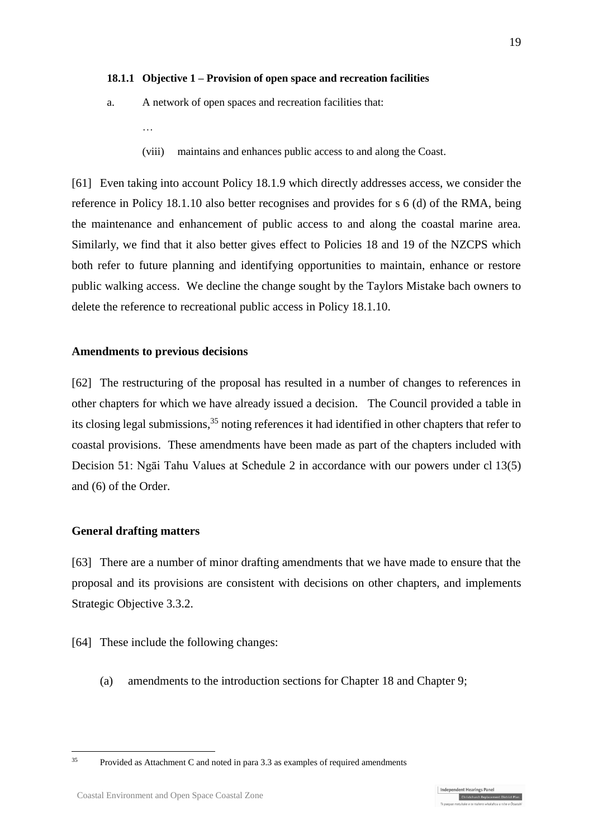#### **18.1.1 Objective 1 – Provision of open space and recreation facilities**

- a. A network of open spaces and recreation facilities that:
	- (viii) maintains and enhances public access to and along the Coast.

[61] Even taking into account Policy 18.1.9 which directly addresses access, we consider the reference in Policy 18.1.10 also better recognises and provides for s 6 (d) of the RMA, being the maintenance and enhancement of public access to and along the coastal marine area. Similarly, we find that it also better gives effect to Policies 18 and 19 of the NZCPS which both refer to future planning and identifying opportunities to maintain, enhance or restore public walking access. We decline the change sought by the Taylors Mistake bach owners to delete the reference to recreational public access in Policy 18.1.10.

#### **Amendments to previous decisions**

…

[62] The restructuring of the proposal has resulted in a number of changes to references in other chapters for which we have already issued a decision. The Council provided a table in its closing legal submissions, <sup>35</sup> noting references it had identified in other chapters that refer to coastal provisions. These amendments have been made as part of the chapters included with Decision 51: Ngāi Tahu Values at Schedule 2 in accordance with our powers under cl 13(5) and (6) of the Order.

#### **General drafting matters**

[63] There are a number of minor drafting amendments that we have made to ensure that the proposal and its provisions are consistent with decisions on other chapters, and implements Strategic Objective 3.3.2.

[64] These include the following changes:

(a) amendments to the introduction sections for Chapter 18 and Chapter 9;

<sup>1</sup> 

<sup>35</sup> Provided as Attachment C and noted in para 3.3 as examples of required amendments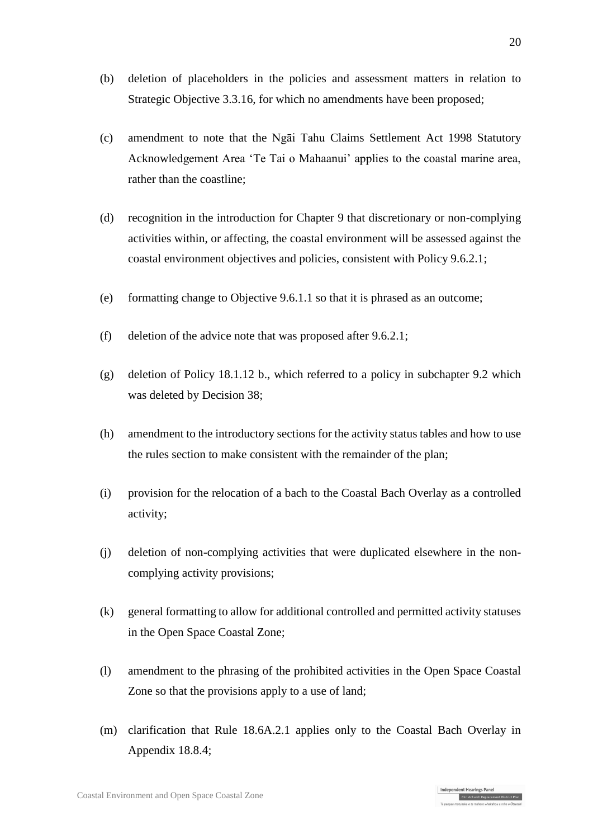- (b) deletion of placeholders in the policies and assessment matters in relation to Strategic Objective 3.3.16, for which no amendments have been proposed;
- (c) amendment to note that the Ngāi Tahu Claims Settlement Act 1998 Statutory Acknowledgement Area 'Te Tai o Mahaanui' applies to the coastal marine area, rather than the coastline;
- (d) recognition in the introduction for Chapter 9 that discretionary or non-complying activities within, or affecting, the coastal environment will be assessed against the coastal environment objectives and policies, consistent with Policy 9.6.2.1;
- (e) formatting change to Objective 9.6.1.1 so that it is phrased as an outcome;
- (f) deletion of the advice note that was proposed after 9.6.2.1;
- (g) deletion of Policy 18.1.12 b., which referred to a policy in subchapter 9.2 which was deleted by Decision 38;
- (h) amendment to the introductory sections for the activity status tables and how to use the rules section to make consistent with the remainder of the plan;
- (i) provision for the relocation of a bach to the Coastal Bach Overlay as a controlled activity;
- (j) deletion of non-complying activities that were duplicated elsewhere in the noncomplying activity provisions;
- (k) general formatting to allow for additional controlled and permitted activity statuses in the Open Space Coastal Zone;
- (l) amendment to the phrasing of the prohibited activities in the Open Space Coastal Zone so that the provisions apply to a use of land;
- (m) clarification that Rule 18.6A.2.1 applies only to the Coastal Bach Overlay in Appendix 18.8.4;

Independent Hearings Panel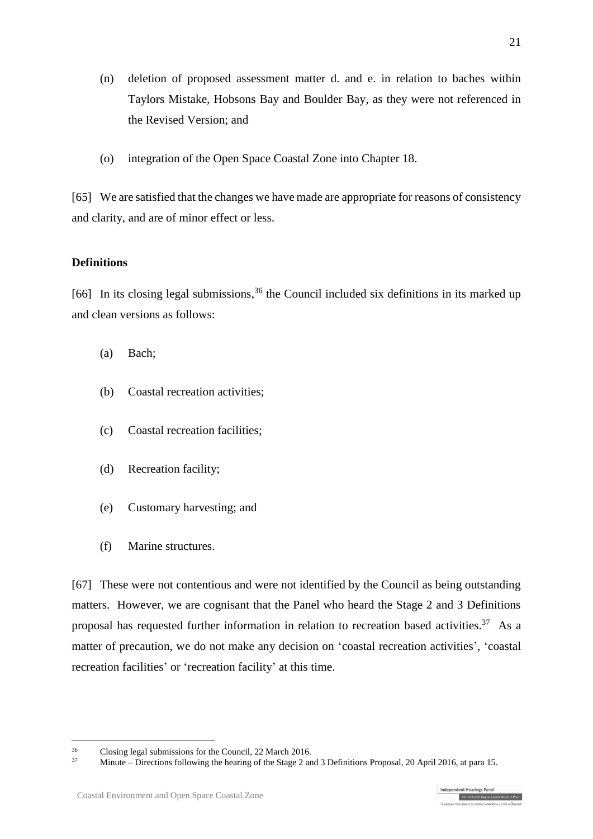- (n) deletion of proposed assessment matter d. and e. in relation to baches within Taylors Mistake, Hobsons Bay and Boulder Bay, as they were not referenced in the Revised Version; and
- (o) integration of the Open Space Coastal Zone into Chapter 18.

[65] We are satisfied that the changes we have made are appropriate for reasons of consistency and clarity, and are of minor effect or less.

#### **Definitions**

[66] In its closing legal submissions,<sup>36</sup> the Council included six definitions in its marked up and clean versions as follows:

- (a) Bach;
- (b) Coastal recreation activities;
- (c) Coastal recreation facilities;
- (d) Recreation facility;
- (e) Customary harvesting; and
- (f) Marine structures.

[67] These were not contentious and were not identified by the Council as being outstanding matters. However, we are cognisant that the Panel who heard the Stage 2 and 3 Definitions proposal has requested further information in relation to recreation based activities.<sup>37</sup> As a matter of precaution, we do not make any decision on 'coastal recreation activities', 'coastal recreation facilities' or 'recreation facility' at this time.

21



<sup>&</sup>lt;u>.</u>  $\frac{36}{37}$  Closing legal submissions for the Council, 22 March 2016.

<sup>37</sup> Minute – Directions following the hearing of the Stage 2 and 3 Definitions Proposal, 20 April 2016, at para 15.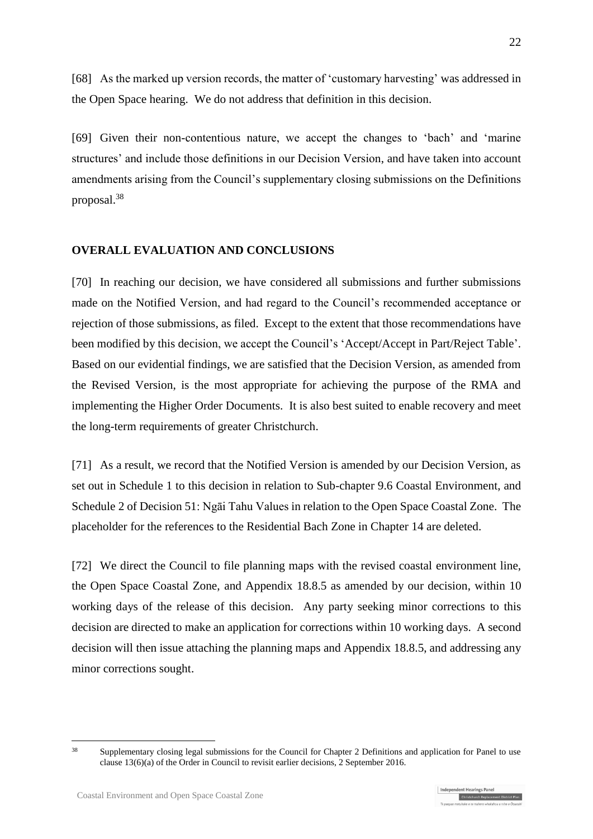[68] As the marked up version records, the matter of 'customary harvesting' was addressed in the Open Space hearing. We do not address that definition in this decision.

[69] Given their non-contentious nature, we accept the changes to 'bach' and 'marine structures' and include those definitions in our Decision Version, and have taken into account amendments arising from the Council's supplementary closing submissions on the Definitions proposal. 38

### **OVERALL EVALUATION AND CONCLUSIONS**

[70] In reaching our decision, we have considered all submissions and further submissions made on the Notified Version, and had regard to the Council's recommended acceptance or rejection of those submissions, as filed. Except to the extent that those recommendations have been modified by this decision, we accept the Council's 'Accept/Accept in Part/Reject Table'. Based on our evidential findings, we are satisfied that the Decision Version, as amended from the Revised Version, is the most appropriate for achieving the purpose of the RMA and implementing the Higher Order Documents. It is also best suited to enable recovery and meet the long-term requirements of greater Christchurch.

[71] As a result, we record that the Notified Version is amended by our Decision Version, as set out in Schedule 1 to this decision in relation to Sub-chapter 9.6 Coastal Environment, and Schedule 2 of Decision 51: Ngāi Tahu Values in relation to the Open Space Coastal Zone. The placeholder for the references to the Residential Bach Zone in Chapter 14 are deleted.

[72] We direct the Council to file planning maps with the revised coastal environment line, the Open Space Coastal Zone, and Appendix 18.8.5 as amended by our decision, within 10 working days of the release of this decision. Any party seeking minor corrections to this decision are directed to make an application for corrections within 10 working days. A second decision will then issue attaching the planning maps and Appendix 18.8.5, and addressing any minor corrections sought.

<sup>&</sup>lt;sup>38</sup> Supplementary closing legal submissions for the Council for Chapter 2 Definitions and application for Panel to use clause 13(6)(a) of the Order in Council to revisit earlier decisions, 2 September 2016.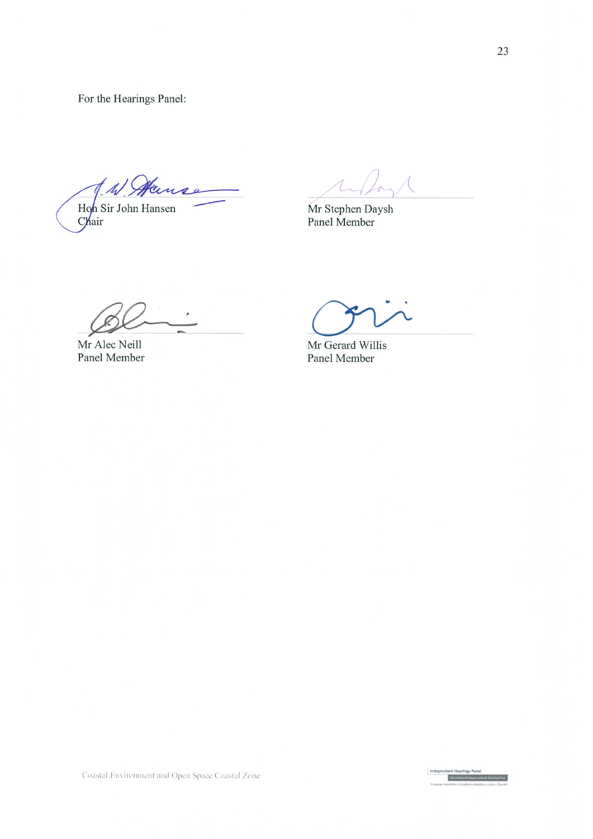For the Hearings Panel:

A. W. Manse

Hon Sir John Hansen<br>Chair

Mr Stephen Daysh<br>Panel Member

Mr Alec Neill Panel Member

Mr Gerard Willis Panel Member

Coastal Environment and Open Space Coastal Zone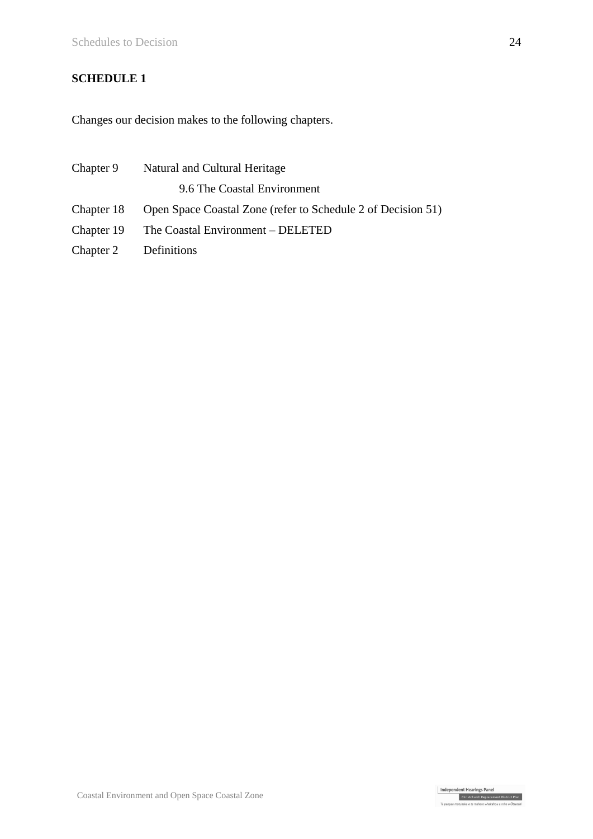# **SCHEDULE 1**

Changes our decision makes to the following chapters.

|                       | Chapter 9 Natural and Cultural Heritage                                 |  |  |
|-----------------------|-------------------------------------------------------------------------|--|--|
|                       | 9.6 The Coastal Environment                                             |  |  |
|                       | Chapter 18 Open Space Coastal Zone (refer to Schedule 2 of Decision 51) |  |  |
|                       | Chapter 19 The Coastal Environment – DELETED                            |  |  |
| Chapter 2 Definitions |                                                                         |  |  |

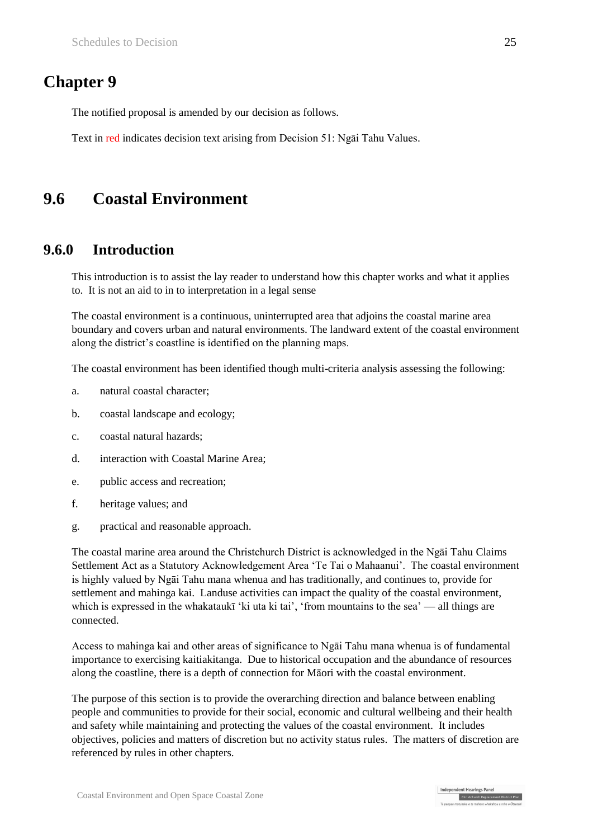# **Chapter 9**

The notified proposal is amended by our decision as follows.

Text in red indicates decision text arising from Decision 51: Ngāi Tahu Values.

# **9.6 Coastal Environment**

### **9.6.0 Introduction**

This introduction is to assist the lay reader to understand how this chapter works and what it applies to. It is not an aid to in to interpretation in a legal sense

The coastal environment is a continuous, uninterrupted area that adjoins the coastal marine area boundary and covers urban and natural environments. The landward extent of the coastal environment along the district's coastline is identified on the planning maps.

The coastal environment has been identified though multi-criteria analysis assessing the following:

- a. natural coastal character;
- b. coastal landscape and ecology;
- c. coastal natural hazards;
- d. interaction with Coastal Marine Area;
- e. public access and recreation;
- f. heritage values; and
- g. practical and reasonable approach.

The coastal marine area around the Christchurch District is acknowledged in the Ngāi Tahu Claims Settlement Act as a Statutory Acknowledgement Area 'Te Tai o Mahaanui'. The coastal environment is highly valued by Ngāi Tahu mana whenua and has traditionally, and continues to, provide for settlement and mahinga kai. Landuse activities can impact the quality of the coastal environment, which is expressed in the whakataukī 'ki uta ki tai', 'from mountains to the sea' — all things are connected.

Access to mahinga kai and other areas of significance to Ngāi Tahu mana whenua is of fundamental importance to exercising kaitiakitanga. Due to historical occupation and the abundance of resources along the coastline, there is a depth of connection for Māori with the coastal environment.

The purpose of this section is to provide the overarching direction and balance between enabling people and communities to provide for their social, economic and cultural wellbeing and their health and safety while maintaining and protecting the values of the coastal environment. It includes objectives, policies and matters of discretion but no activity status rules. The matters of discretion are referenced by rules in other chapters.

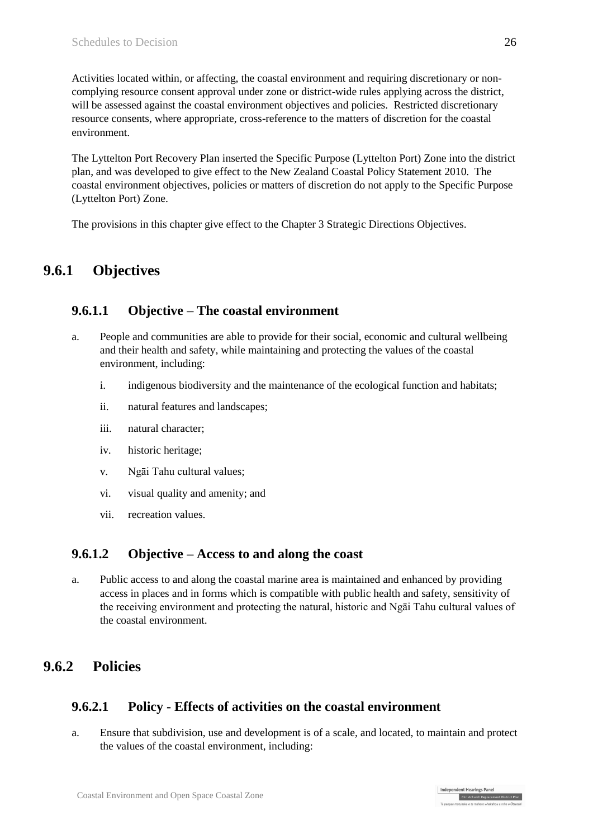Activities located within, or affecting, the coastal environment and requiring discretionary or noncomplying resource consent approval under zone or district-wide rules applying across the district, will be assessed against the coastal environment objectives and policies. Restricted discretionary resource consents, where appropriate, cross-reference to the matters of discretion for the coastal environment.

The Lyttelton Port Recovery Plan inserted the Specific Purpose (Lyttelton Port) Zone into the district plan, and was developed to give effect to the New Zealand Coastal Policy Statement 2010. The coastal environment objectives, policies or matters of discretion do not apply to the Specific Purpose (Lyttelton Port) Zone.

The provisions in this chapter give effect to the Chapter 3 Strategic Directions Objectives.

# **9.6.1 Objectives**

## **9.6.1.1 Objective – The coastal environment**

- a. People and communities are able to provide for their social, economic and cultural wellbeing and their health and safety, while maintaining and protecting the values of the coastal environment, including:
	- i. indigenous biodiversity and the maintenance of the ecological function and habitats;
	- ii. natural features and landscapes;
	- iii. natural character;
	- iv. historic heritage;
	- v. Ngāi Tahu cultural values;
	- vi. visual quality and amenity; and
	- vii. recreation values.

### **9.6.1.2 Objective – Access to and along the coast**

a. Public access to and along the coastal marine area is maintained and enhanced by providing access in places and in forms which is compatible with public health and safety, sensitivity of the receiving environment and protecting the natural, historic and Ngāi Tahu cultural values of the coastal environment.

# **9.6.2 Policies**

## **9.6.2.1 Policy - Effects of activities on the coastal environment**

a. Ensure that subdivision, use and development is of a scale, and located, to maintain and protect the values of the coastal environment, including:

Independent Hearings Pane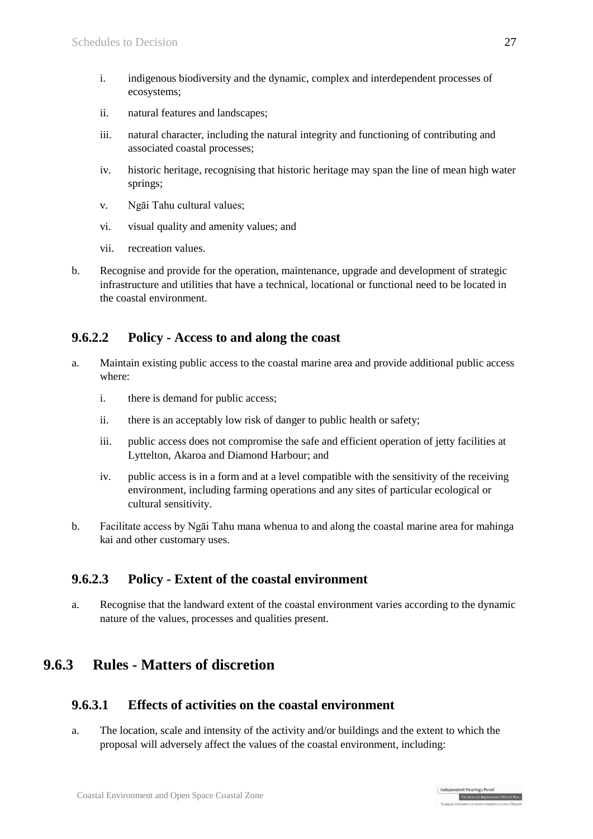- i. indigenous biodiversity and the dynamic, complex and interdependent processes of ecosystems;
- ii. natural features and landscapes;
- iii. natural character, including the natural integrity and functioning of contributing and associated coastal processes;
- iv. historic heritage, recognising that historic heritage may span the line of mean high water springs;
- v. Ngāi Tahu cultural values;
- vi. visual quality and amenity values; and
- vii. recreation values.
- b. Recognise and provide for the operation, maintenance, upgrade and development of strategic infrastructure and utilities that have a technical, locational or functional need to be located in the coastal environment.

## **9.6.2.2 Policy - Access to and along the coast**

- a. Maintain existing public access to the coastal marine area and provide additional public access where:
	- i. there is demand for public access;
	- ii. there is an acceptably low risk of danger to public health or safety;
	- iii. public access does not compromise the safe and efficient operation of jetty facilities at Lyttelton, Akaroa and Diamond Harbour; and
	- iv. public access is in a form and at a level compatible with the sensitivity of the receiving environment, including farming operations and any sites of particular ecological or cultural sensitivity.
- b. Facilitate access by Ngāi Tahu mana whenua to and along the coastal marine area for mahinga kai and other customary uses.

## **9.6.2.3 Policy - Extent of the coastal environment**

a. Recognise that the landward extent of the coastal environment varies according to the dynamic nature of the values, processes and qualities present.

# **9.6.3 Rules - Matters of discretion**

# **9.6.3.1 Effects of activities on the coastal environment**

a. The location, scale and intensity of the activity and/or buildings and the extent to which the proposal will adversely affect the values of the coastal environment, including:

Independent Hearings Panel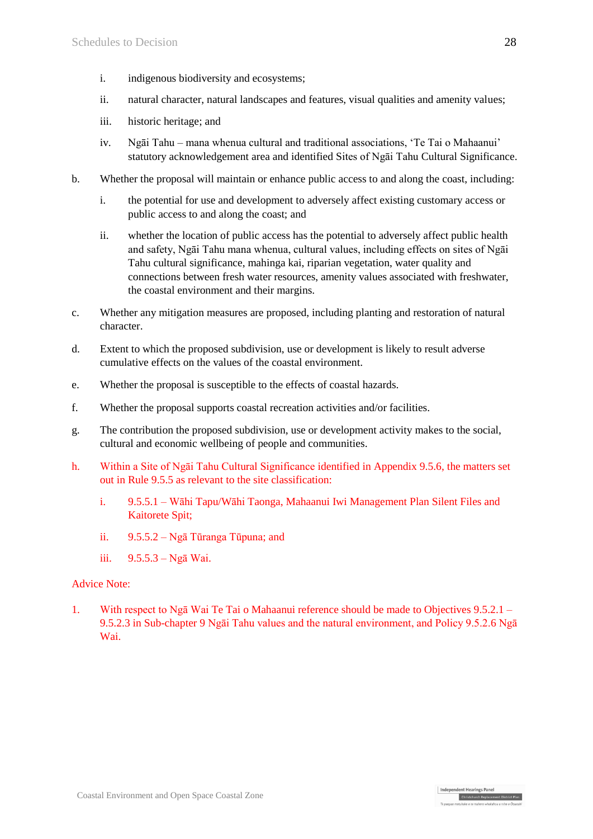- i. indigenous biodiversity and ecosystems;
- ii. natural character, natural landscapes and features, visual qualities and amenity values;
- iii. historic heritage; and
- iv. Ngāi Tahu mana whenua cultural and traditional associations, 'Te Tai o Mahaanui' statutory acknowledgement area and identified Sites of Ngāi Tahu Cultural Significance.
- b. Whether the proposal will maintain or enhance public access to and along the coast, including:
	- i. the potential for use and development to adversely affect existing customary access or public access to and along the coast; and
	- ii. whether the location of public access has the potential to adversely affect public health and safety, Ngāi Tahu mana whenua, cultural values, including effects on sites of Ngāi Tahu cultural significance, mahinga kai, riparian vegetation, water quality and connections between fresh water resources, amenity values associated with freshwater, the coastal environment and their margins.
- c. Whether any mitigation measures are proposed, including planting and restoration of natural character.
- d. Extent to which the proposed subdivision, use or development is likely to result adverse cumulative effects on the values of the coastal environment.
- e. Whether the proposal is susceptible to the effects of coastal hazards.
- f. Whether the proposal supports coastal recreation activities and/or facilities.
- g. The contribution the proposed subdivision, use or development activity makes to the social, cultural and economic wellbeing of people and communities.
- h. Within a Site of Ngāi Tahu Cultural Significance identified in Appendix 9.5.6, the matters set out in Rule 9.5.5 as relevant to the site classification:
	- i. 9.5.5.1 Wāhi Tapu/Wāhi Taonga, Mahaanui Iwi Management Plan Silent Files and Kaitorete Spit;
	- ii. 9.5.5.2 Ngā Tūranga Tūpuna; and
	- iii. 9.5.5.3 Ngā Wai.

#### Advice Note:

1. With respect to Ngā Wai Te Tai o Mahaanui reference should be made to Objectives 9.5.2.1 – 9.5.2.3 in Sub-chapter 9 Ngāi Tahu values and the natural environment, and Policy 9.5.2.6 Ngā Wai.

Independent Hearings Panel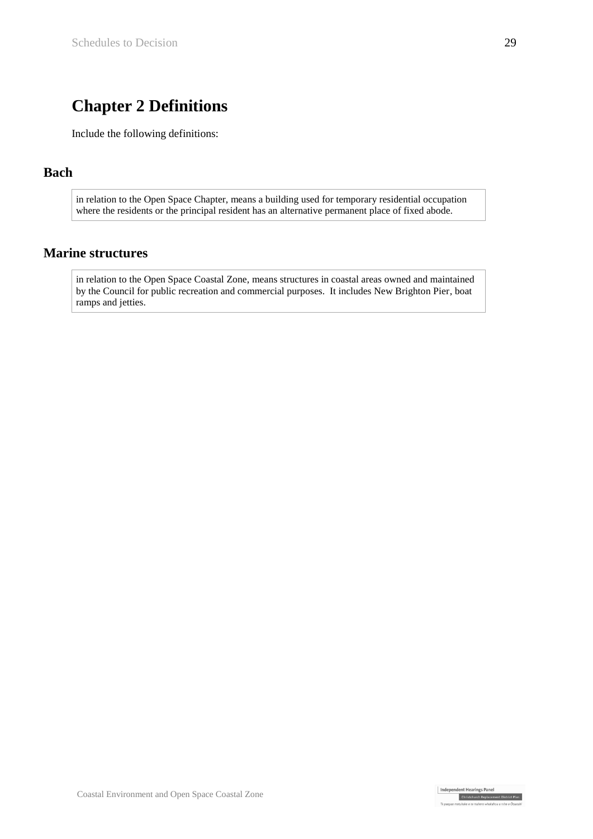# **Chapter 2 Definitions**

Include the following definitions:

### **Bach**

in relation to the Open Space Chapter, means a building used for temporary residential occupation where the residents or the principal resident has an alternative permanent place of fixed abode.

### **Marine structures**

in relation to the Open Space Coastal Zone, means structures in coastal areas owned and maintained by the Council for public recreation and commercial purposes. It includes New Brighton Pier, boat ramps and jetties.